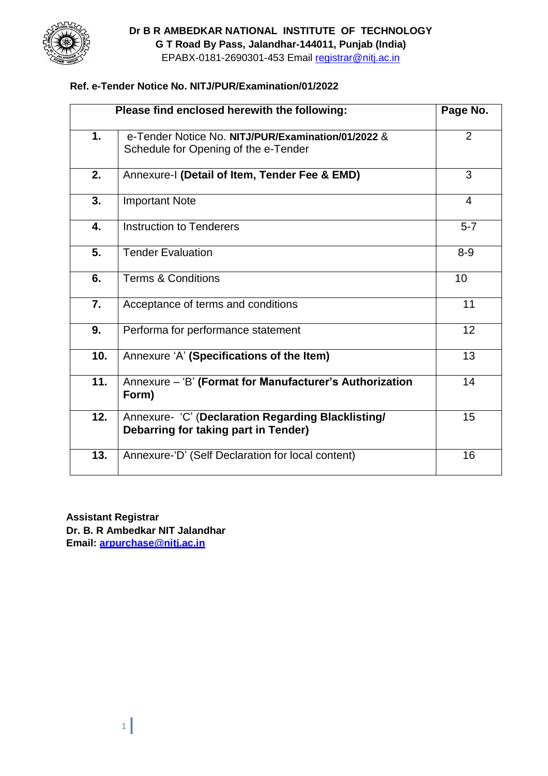

## **Dr B R AMBEDKAR NATIONAL INSTITUTE OF TECHNOLOGY G T Road By Pass, Jalandhar-144011, Punjab (India)**

EPABX-0181-2690301-453 Email registrar@nitj.ac.in

### **Ref. e-Tender Notice No. NITJ/PUR/Examination/01/2022**

| Please find enclosed herewith the following: |                                                                                            |                |
|----------------------------------------------|--------------------------------------------------------------------------------------------|----------------|
| 1.                                           | e-Tender Notice No. NITJ/PUR/Examination/01/2022 &<br>Schedule for Opening of the e-Tender | $\overline{2}$ |
| 2.                                           | Annexure-I (Detail of Item, Tender Fee & EMD)                                              | 3              |
| 3.                                           | <b>Important Note</b>                                                                      | 4              |
| 4.                                           | <b>Instruction to Tenderers</b>                                                            | $5 - 7$        |
| 5.                                           | <b>Tender Evaluation</b>                                                                   | $8 - 9$        |
| 6.                                           | <b>Terms &amp; Conditions</b>                                                              | 10             |
| 7.                                           | Acceptance of terms and conditions                                                         | 11             |
| 9.                                           | Performa for performance statement                                                         | 12             |
| 10.                                          | Annexure 'A' (Specifications of the Item)                                                  | 13             |
| 11.                                          | Annexure - 'B' (Format for Manufacturer's Authorization<br>Form)                           | 14             |
| 12.                                          | Annexure- 'C' (Declaration Regarding Blacklisting/<br>Debarring for taking part in Tender) | 15             |
| 13.                                          | Annexure-'D' (Self Declaration for local content)                                          | 16             |

**Assistant Registrar Dr. B. R Ambedkar NIT Jalandhar Email: [arpurchase@nitj.ac.in](mailto:arpurchase@nitj.ac.in)**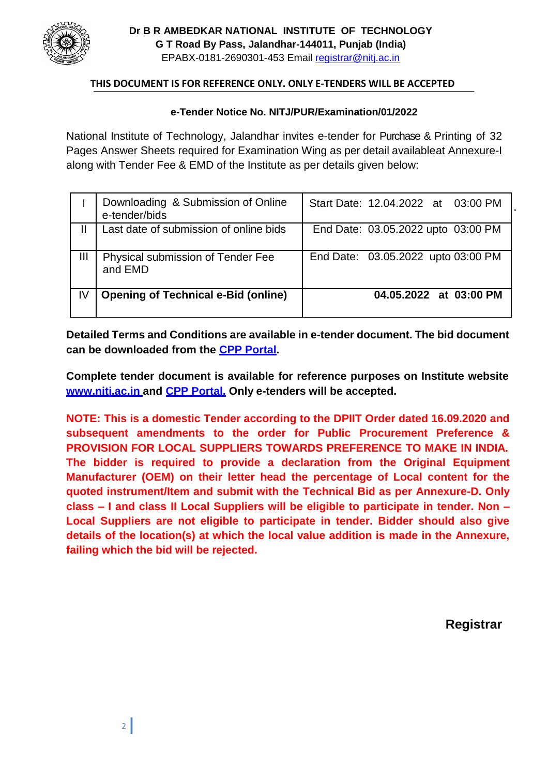

### **THIS DOCUMENT IS FOR REFERENCE ONLY. ONLY E-TENDERS WILL BE ACCEPTED**

#### **e-Tender Notice No. NITJ/PUR/Examination/01/2022**

National Institute of Technology, Jalandhar invites e-tender for Purchase & Printing of 32 Pages Answer Sheets required for Examination Wing as per detail availableat Annexure-I along with Tender Fee & EMD of the Institute as per details given below:

|    | Downloading & Submission of Online<br>e-tender/bids | Start Date: 12.04.2022 at 03:00 PM |
|----|-----------------------------------------------------|------------------------------------|
| Ш  | Last date of submission of online bids              | End Date: 03.05.2022 upto 03:00 PM |
| Ш  | Physical submission of Tender Fee<br>and EMD        | End Date: 03.05.2022 upto 03:00 PM |
| IV | <b>Opening of Technical e-Bid (online)</b>          | 04.05.2022 at 03:00 PM             |

**Detailed Terms and Conditions are available in e-tender document. The bid document can be downloaded from the CPP Portal.**

**Complete tender document is available for reference purposes on Institute website [www.nitj.ac.in](http://www.nitj.ac.in/) and CPP Portal. Only e-tenders will be accepted.**

**NOTE: This is a domestic Tender according to the DPIIT Order dated 16.09.2020 and subsequent amendments to the order for Public Procurement Preference & PROVISION FOR LOCAL SUPPLIERS TOWARDS PREFERENCE TO MAKE IN INDIA. The bidder is required to provide a declaration from the Original Equipment Manufacturer (OEM) on their letter head the percentage of Local content for the quoted instrument/Item and submit with the Technical Bid as per Annexure-D. Only class – I and class II Local Suppliers will be eligible to participate in tender. Non – Local Suppliers are not eligible to participate in tender. Bidder should also give details of the location(s) at which the local value addition is made in the Annexure, failing which the bid will be rejected.**

**Registrar**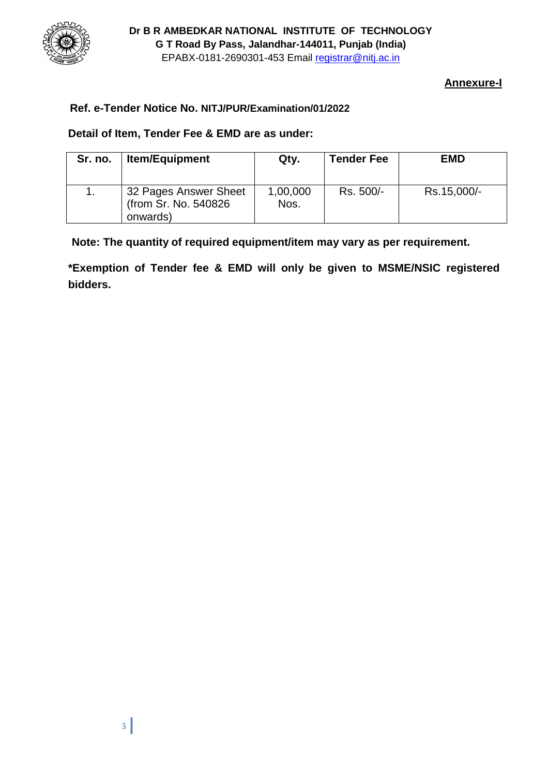

# **Annexure-I**

# **Ref. e-Tender Notice No. NITJ/PUR/Examination/01/2022**

## **Detail of Item, Tender Fee & EMD are as under:**

| Sr. no. | <b>Item/Equipment</b>                                      | Qty.             | <b>Tender Fee</b> | <b>EMD</b>  |
|---------|------------------------------------------------------------|------------------|-------------------|-------------|
|         | 32 Pages Answer Sheet<br>(from Sr. No. 540826)<br>onwards) | 1,00,000<br>Nos. | Rs. 500/-         | Rs.15,000/- |

**Note: The quantity of required equipment/item may vary as per requirement.**

**\*Exemption of Tender fee & EMD will only be given to MSME/NSIC registered bidders.**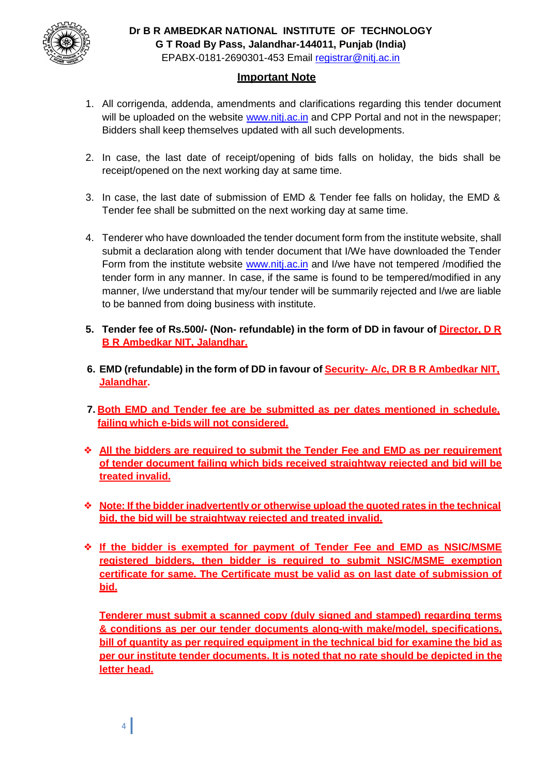

### **Important Note**

- 1. All corrigenda, addenda, amendments and clarifications regarding this tender document will be uploaded on the website [www.nitj.ac.in](http://www.nitj.ac.in/) and CPP Portal and not in the newspaper; Bidders shall keep themselves updated with all such developments.
- 2. In case, the last date of receipt/opening of bids falls on holiday, the bids shall be receipt/opened on the next working day at same time.
- 3. In case, the last date of submission of EMD & Tender fee falls on holiday, the EMD & Tender fee shall be submitted on the next working day at same time.
- 4. Tenderer who have downloaded the tender document form from the institute website, shall submit a declaration along with tender document that I/We have downloaded the Tender Form from the institute website [www.nitj.ac.in](http://www.nitj.ac.in/) and I/we have not tempered /modified the tender form in any manner. In case, if the same is found to be tempered/modified in any manner, I/we understand that my/our tender will be summarily rejected and I/we are liable to be banned from doing business with institute.
- **5. Tender fee of Rs.500/- (Non- refundable) in the form of DD in favour of Director, D R B R Ambedkar NIT, Jalandhar.**
- **6. EMD (refundable) in the form of DD in favour of Security- A/c, DR B R Ambedkar NIT, Jalandhar.**
- **7. Both EMD and Tender fee are be submitted as per dates mentioned in schedule, failing which e-bids will not considered.**
- ❖ **All the bidders are required to submit the Tender Fee and EMD as per requirement of tender document failing which bids received straightway rejected and bid will be treated invalid.**
- ❖ **Note: If the bidder inadvertently or otherwise upload the quoted rates in the technical bid, the bid will be straightway rejected and treated invalid.**
- ❖ **If the bidder is exempted for payment of Tender Fee and EMD as NSIC/MSME registered bidders, then bidder is required to submit NSIC/MSME exemption certificate for same. The Certificate must be valid as on last date of submission of bid.**

**Tenderer must submit a scanned copy (duly signed and stamped) regarding terms & conditions as per our tender documents along-with make/model, specifications, bill of quantity as per required equipment in the technical bid for examine the bid as per our institute tender documents. It is noted that no rate should be depicted in the letter head.**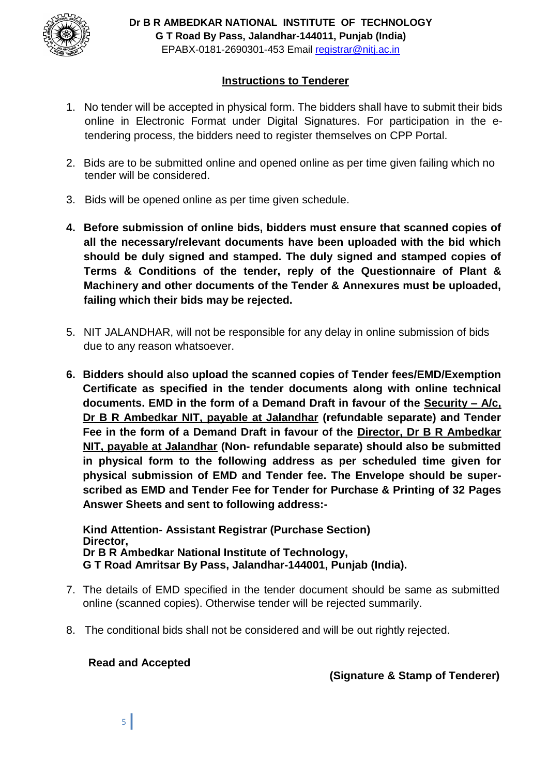

## **Instructions to Tenderer**

- 1. No tender will be accepted in physical form. The bidders shall have to submit their bids online in Electronic Format under Digital Signatures. For participation in the etendering process, the bidders need to register themselves on CPP Portal.
- 2. Bids are to be submitted online and opened online as per time given failing which no tender will be considered.
- 3. Bids will be opened online as per time given schedule.
- **4. Before submission of online bids, bidders must ensure that scanned copies of all the necessary/relevant documents have been uploaded with the bid which should be duly signed and stamped. The duly signed and stamped copies of Terms & Conditions of the tender, reply of the Questionnaire of Plant & Machinery and other documents of the Tender & Annexures must be uploaded, failing which their bids may be rejected.**
- 5. NIT JALANDHAR, will not be responsible for any delay in online submission of bids due to any reason whatsoever.
- **6. Bidders should also upload the scanned copies of Tender fees/EMD/Exemption Certificate as specified in the tender documents along with online technical documents. EMD in the form of a Demand Draft in favour of the Security – A/c, Dr B R Ambedkar NIT, payable at Jalandhar (refundable separate) and Tender Fee in the form of a Demand Draft in favour of the Director, Dr B R Ambedkar NIT, payable at Jalandhar (Non- refundable separate) should also be submitted in physical form to the following address as per scheduled time given for physical submission of EMD and Tender fee. The Envelope should be superscribed as EMD and Tender Fee for Tender for Purchase & Printing of 32 Pages Answer Sheets and sent to following address:-**

**Kind Attention- Assistant Registrar (Purchase Section) Director, Dr B R Ambedkar National Institute of Technology, G T Road Amritsar By Pass, Jalandhar-144001, Punjab (India).**

- 7. The details of EMD specified in the tender document should be same as submitted online (scanned copies). Otherwise tender will be rejected summarily.
- 8. The conditional bids shall not be considered and will be out rightly rejected.

### **Read and Accepted**

**(Signature & Stamp of Tenderer)**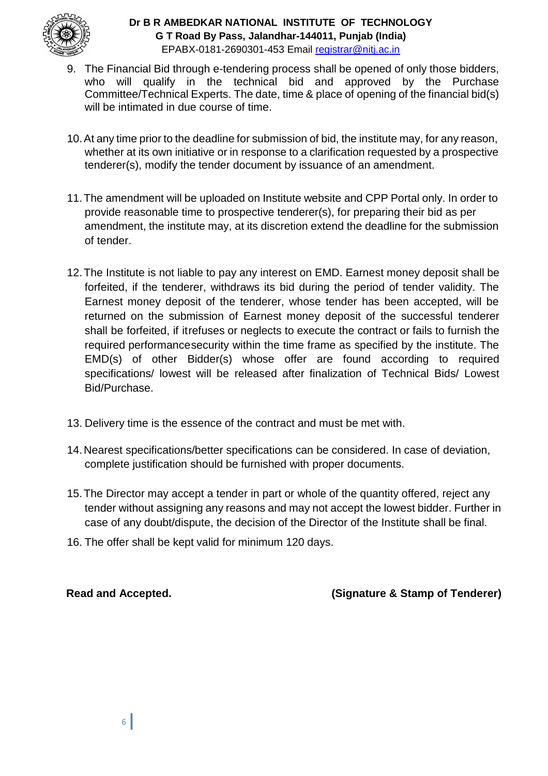

### **Dr B R AMBEDKAR NATIONAL INSTITUTE OF TECHNOLOGY G T Road By Pass, Jalandhar-144011, Punjab (India)** EPABX-0181-2690301-453 Email registrar@nitj.ac.in

- 9. The Financial Bid through e-tendering process shall be opened of only those bidders, who will qualify in the technical bid and approved by the Purchase Committee/Technical Experts. The date, time & place of opening of the financial bid(s) will be intimated in due course of time.
- 10.At any time prior to the deadline for submission of bid, the institute may, for any reason, whether at its own initiative or in response to a clarification requested by a prospective tenderer(s), modify the tender document by issuance of an amendment.
- 11.The amendment will be uploaded on Institute website and CPP Portal only. In order to provide reasonable time to prospective tenderer(s), for preparing their bid as per amendment, the institute may, at its discretion extend the deadline for the submission of tender.
- 12.The Institute is not liable to pay any interest on EMD. Earnest money deposit shall be forfeited, if the tenderer, withdraws its bid during the period of tender validity. The Earnest money deposit of the tenderer, whose tender has been accepted, will be returned on the submission of Earnest money deposit of the successful tenderer shall be forfeited, if itrefuses or neglects to execute the contract or fails to furnish the required performancesecurity within the time frame as specified by the institute. The EMD(s) of other Bidder(s) whose offer are found according to required specifications/ lowest will be released after finalization of Technical Bids/ Lowest Bid/Purchase.
- 13. Delivery time is the essence of the contract and must be met with.
- 14.Nearest specifications/better specifications can be considered. In case of deviation, complete justification should be furnished with proper documents.
- 15.The Director may accept a tender in part or whole of the quantity offered, reject any tender without assigning any reasons and may not accept the lowest bidder. Further in case of any doubt/dispute, the decision of the Director of the Institute shall be final.
- 16. The offer shall be kept valid for minimum 120 days.

**Read and Accepted. (Signature & Stamp of Tenderer)**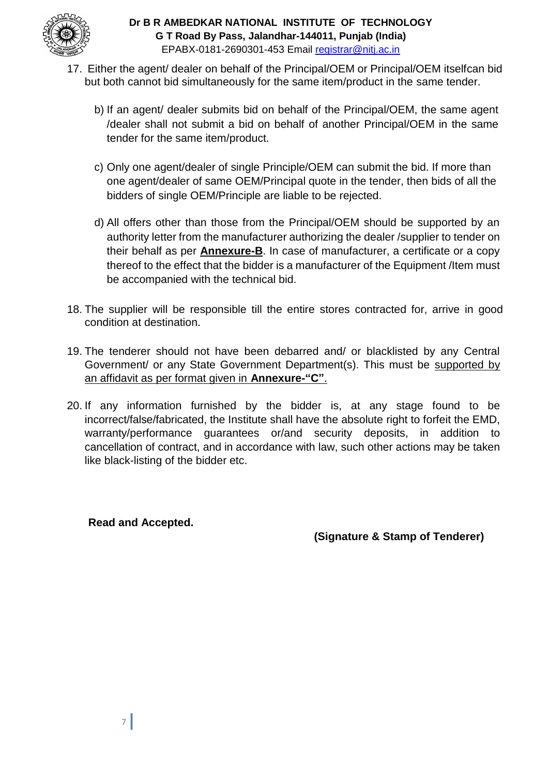

- 17. Either the agent/ dealer on behalf of the Principal/OEM or Principal/OEM itselfcan bid but both cannot bid simultaneously for the same item/product in the same tender.
	- b) If an agent/ dealer submits bid on behalf of the Principal/OEM, the same agent /dealer shall not submit a bid on behalf of another Principal/OEM in the same tender for the same item/product.
	- c) Only one agent/dealer of single Principle/OEM can submit the bid. If more than one agent/dealer of same OEM/Principal quote in the tender, then bids of all the bidders of single OEM/Principle are liable to be rejected.
	- d) All offers other than those from the Principal/OEM should be supported by an authority letter from the manufacturer authorizing the dealer /supplier to tender on their behalf as per **Annexure-B**. In case of manufacturer, a certificate or a copy thereof to the effect that the bidder is a manufacturer of the Equipment /Item must be accompanied with the technical bid.
- 18. The supplier will be responsible till the entire stores contracted for, arrive in good condition at destination.
- 19. The tenderer should not have been debarred and/ or blacklisted by any Central Government/ or any State Government Department(s). This must be supported by an affidavit as per format given in **Annexure-"C"**.
- 20. If any information furnished by the bidder is, at any stage found to be incorrect/false/fabricated, the Institute shall have the absolute right to forfeit the EMD, warranty/performance guarantees or/and security deposits, in addition to cancellation of contract, and in accordance with law, such other actions may be taken like black-listing of the bidder etc.

**Read and Accepted.**

**(Signature & Stamp of Tenderer)**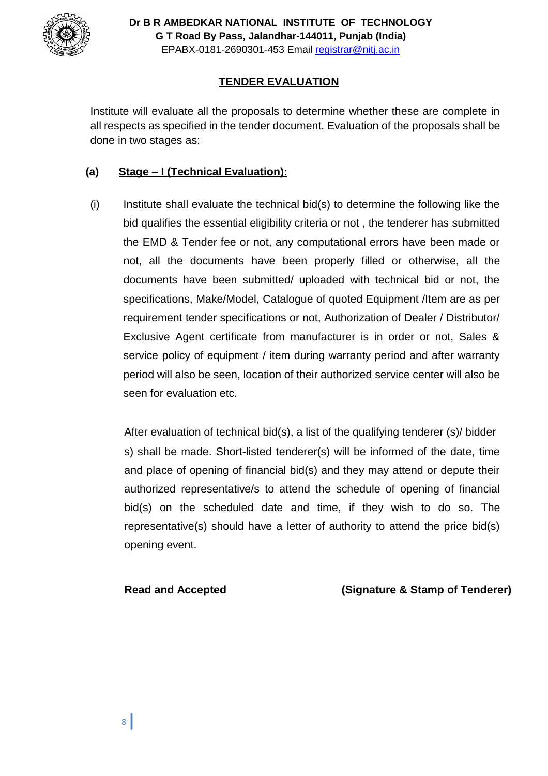

# **TENDER EVALUATION**

Institute will evaluate all the proposals to determine whether these are complete in all respects as specified in the tender document. Evaluation of the proposals shall be done in two stages as:

## **(a) Stage – I (Technical Evaluation):**

 $(i)$  Institute shall evaluate the technical bid(s) to determine the following like the bid qualifies the essential eligibility criteria or not , the tenderer has submitted the EMD & Tender fee or not, any computational errors have been made or not, all the documents have been properly filled or otherwise, all the documents have been submitted/ uploaded with technical bid or not, the specifications, Make/Model, Catalogue of quoted Equipment /Item are as per requirement tender specifications or not, Authorization of Dealer / Distributor/ Exclusive Agent certificate from manufacturer is in order or not, Sales & service policy of equipment / item during warranty period and after warranty period will also be seen, location of their authorized service center will also be seen for evaluation etc.

After evaluation of technical bid(s), a list of the qualifying tenderer (s)/ bidder s) shall be made. Short-listed tenderer(s) will be informed of the date, time and place of opening of financial bid(s) and they may attend or depute their authorized representative/s to attend the schedule of opening of financial bid(s) on the scheduled date and time, if they wish to do so. The representative(s) should have a letter of authority to attend the price bid(s) opening event.

**Read and Accepted (Signature & Stamp of Tenderer)**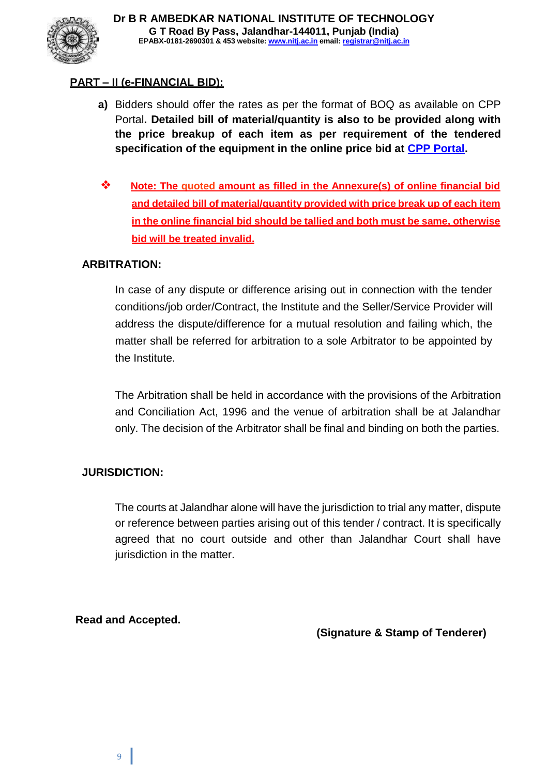

# **PART – II (e-FINANCIAL BID):**

- **a)** Bidders should offer the rates as per the format of BOQ as available on CPP Portal**. Detailed bill of material/quantity is also to be provided along with the price breakup of each item as per requirement of the tendered specification of the equipment in the online price bid at CPP Portal.**
- ❖ **Note: The quoted amount as filled in the Annexure(s) of online financial bid and detailed bill of material/quantity provided with price break up of each item in the online financial bid should be tallied and both must be same, otherwise bid will be treated invalid.**

### **ARBITRATION:**

In case of any dispute or difference arising out in connection with the tender conditions/job order/Contract, the Institute and the Seller/Service Provider will address the dispute/difference for a mutual resolution and failing which, the matter shall be referred for arbitration to a sole Arbitrator to be appointed by the Institute.

The Arbitration shall be held in accordance with the provisions of the Arbitration and Conciliation Act, 1996 and the venue of arbitration shall be at Jalandhar only. The decision of the Arbitrator shall be final and binding on both the parties.

### **JURISDICTION:**

The courts at Jalandhar alone will have the jurisdiction to trial any matter, dispute or reference between parties arising out of this tender / contract. It is specifically agreed that no court outside and other than Jalandhar Court shall have jurisdiction in the matter.

**Read and Accepted.**

**(Signature & Stamp of Tenderer)**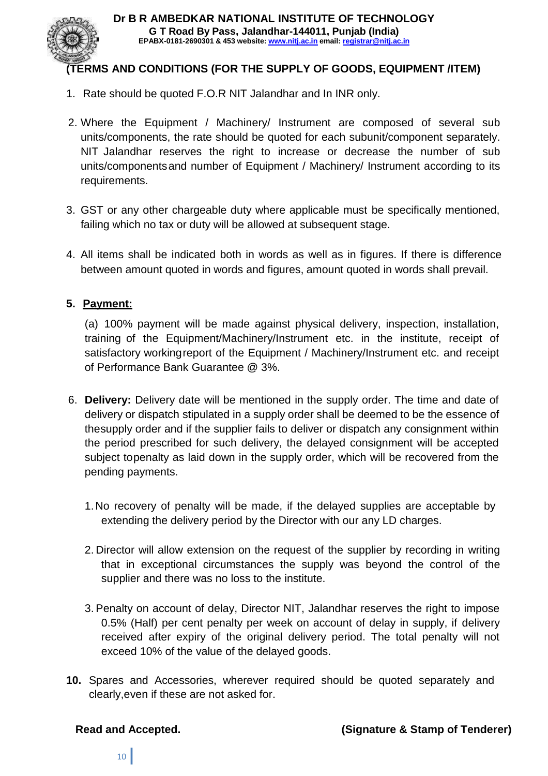

# **(TERMS AND CONDITIONS (FOR THE SUPPLY OF GOODS, EQUIPMENT /ITEM)**

- 1. Rate should be quoted F.O.R NIT Jalandhar and In INR only.
- 2. Where the Equipment / Machinery/ Instrument are composed of several sub units/components, the rate should be quoted for each subunit/component separately. NIT Jalandhar reserves the right to increase or decrease the number of sub units/componentsand number of Equipment / Machinery/ Instrument according to its requirements.
- 3. GST or any other chargeable duty where applicable must be specifically mentioned, failing which no tax or duty will be allowed at subsequent stage.
- 4. All items shall be indicated both in words as well as in figures. If there is difference between amount quoted in words and figures, amount quoted in words shall prevail.

## **5. Payment:**

(a) 100% payment will be made against physical delivery, inspection, installation, training of the Equipment/Machinery/Instrument etc. in the institute, receipt of satisfactory workingreport of the Equipment / Machinery/Instrument etc. and receipt of Performance Bank Guarantee @ 3%.

- 6. **Delivery:** Delivery date will be mentioned in the supply order. The time and date of delivery or dispatch stipulated in a supply order shall be deemed to be the essence of thesupply order and if the supplier fails to deliver or dispatch any consignment within the period prescribed for such delivery, the delayed consignment will be accepted subject topenalty as laid down in the supply order, which will be recovered from the pending payments.
	- 1.No recovery of penalty will be made, if the delayed supplies are acceptable by extending the delivery period by the Director with our any LD charges.
	- 2. Director will allow extension on the request of the supplier by recording in writing that in exceptional circumstances the supply was beyond the control of the supplier and there was no loss to the institute.
	- 3. Penalty on account of delay, Director NIT, Jalandhar reserves the right to impose 0.5% (Half) per cent penalty per week on account of delay in supply, if delivery received after expiry of the original delivery period. The total penalty will not exceed 10% of the value of the delayed goods.
- **10.** Spares and Accessories, wherever required should be quoted separately and clearly,even if these are not asked for.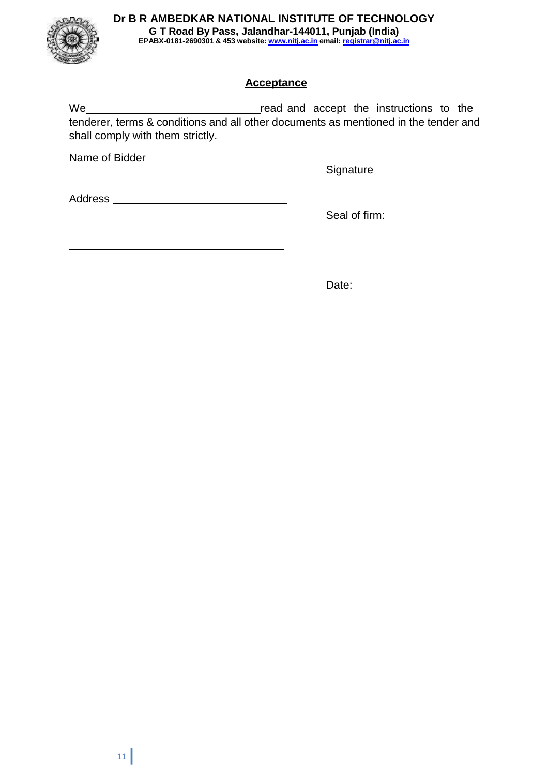# **Dr B R AMBEDKAR NATIONAL INSTITUTE OF TECHNOLOGY**



**G T Road By Pass, Jalandhar-144011, Punjab (India) EPABX-0181-2690301 & 453 website: www.nitj.ac.in email: registrar@nitj.ac.in**

# **Acceptance**

We **Refinition** and accept the instructions to the tenderer, terms & conditions and all other documents as mentioned in the tender and shall comply with them strictly.

Name of Bidder

**Signature** 

Address and the contract of the contract of the contract of the contract of the contract of the contract of the contract of the contract of the contract of the contract of the contract of the contract of the contract of th

Seal of firm:

Date: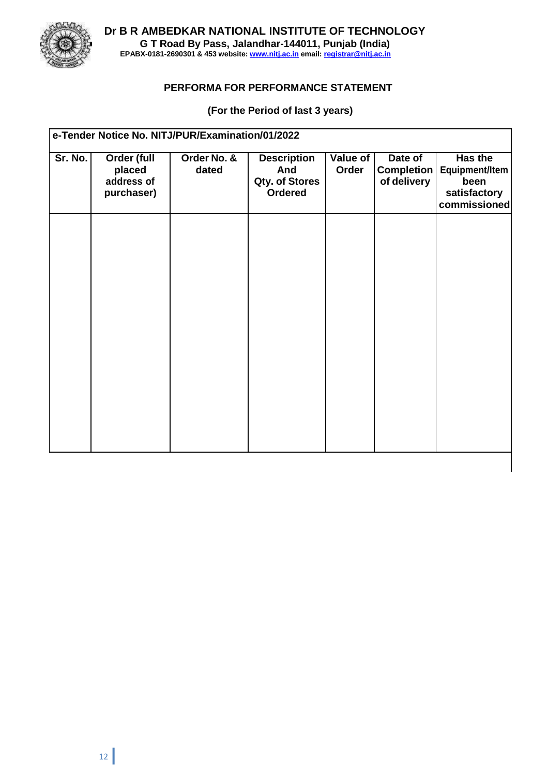

**Dr B R AMBEDKAR NATIONAL INSTITUTE OF TECHNOLOGY G T Road By Pass, Jalandhar-144011, Punjab (India) EPABX-0181-2690301 & 453 website: www.nitj.ac.in email: registrar@nitj.ac.in**

### **PERFORMA FOR PERFORMANCE STATEMENT**

## **(For the Period of last 3 years)**

| e-Tender Notice No. NITJ/PUR/Examination/01/2022 |                                                          |                      |                                                        |                   |                                             |                                                                          |
|--------------------------------------------------|----------------------------------------------------------|----------------------|--------------------------------------------------------|-------------------|---------------------------------------------|--------------------------------------------------------------------------|
| Sr. No.                                          | <b>Order (full</b><br>placed<br>address of<br>purchaser) | Order No. &<br>dated | <b>Description</b><br>And<br>Qty. of Stores<br>Ordered | Value of<br>Order | Date of<br><b>Completion</b><br>of delivery | Has the<br><b>Equipment/Item</b><br>been<br>satisfactory<br>commissioned |
|                                                  |                                                          |                      |                                                        |                   |                                             |                                                                          |
|                                                  |                                                          |                      |                                                        |                   |                                             |                                                                          |
|                                                  |                                                          |                      |                                                        |                   |                                             |                                                                          |
|                                                  |                                                          |                      |                                                        |                   |                                             |                                                                          |
|                                                  |                                                          |                      |                                                        |                   |                                             |                                                                          |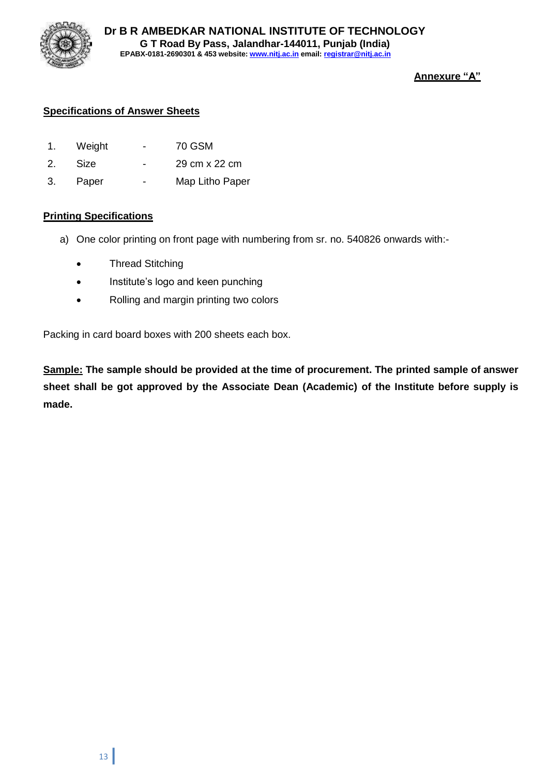

### **Annexure "A"**

### **Specifications of Answer Sheets**

- 1. Weight 70 GSM
- 2. Size 29 cm x 22 cm
- 3. Paper Map Litho Paper

#### **Printing Specifications**

- a) One color printing on front page with numbering from sr. no. 540826 onwards with:-
	- Thread Stitching
	- Institute's logo and keen punching
	- Rolling and margin printing two colors

Packing in card board boxes with 200 sheets each box.

**Sample: The sample should be provided at the time of procurement. The printed sample of answer sheet shall be got approved by the Associate Dean (Academic) of the Institute before supply is made.**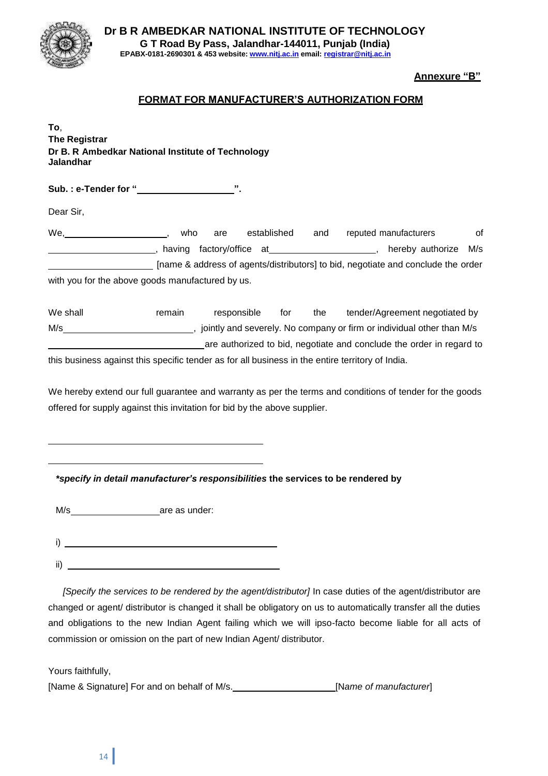

**Dr B R AMBEDKAR NATIONAL INSTITUTE OF TECHNOLOGY G T Road By Pass, Jalandhar-144011, Punjab (India) EPABX-0181-2690301 & 453 website: www.nitj.ac.in email: registrar@nitj.ac.in**

**Annexure "B"**

#### **FORMAT FOR MANUFACTURER'S AUTHORIZATION FORM**

**To**, **The Registrar Dr B. R Ambedkar National Institute of Technology Jalandhar**

**Sub. : e-Tender for " ".**

Dear Sir,

We, the stablished and reputed manufacturers of the stable in the stablished and reputed manufacturers of , having factory/office at , hereby authorize M/s [name & address of agents/distributors] to bid, negotiate and conclude the order with you for the above goods manufactured by us.

We shall **remain** responsible for the tender/Agreement negotiated by M/s  $\frac{1}{\sqrt{2}}$ , jointly and severely. No company or firm or individual other than M/s are authorized to bid, negotiate and conclude the order in regard to

this business against this specific tender as for all business in the entire territory of India.

We hereby extend our full guarantee and warranty as per the terms and conditions of tender for the goods offered for supply against this invitation for bid by the above supplier.

*\*specify in detail manufacturer's responsibilities* **the services to be rendered by**

M/s are as under:

i) ii)

*[Specify the services to be rendered by the agent/distributor]* In case duties of the agent/distributor are changed or agent/ distributor is changed it shall be obligatory on us to automatically transfer all the duties and obligations to the new Indian Agent failing which we will ipso-facto become liable for all acts of commission or omission on the part of new Indian Agent/ distributor.

Yours faithfully,

[Name & Signature] For and on behalf of M/s. [N*ame of manufacturer*]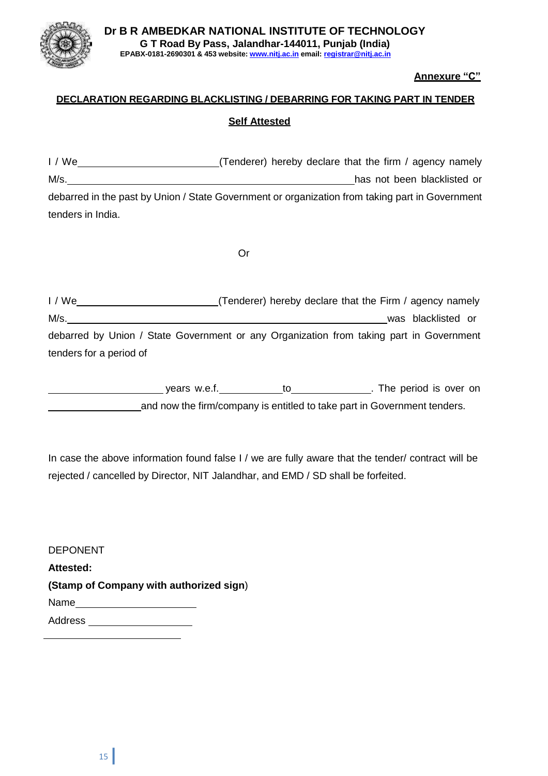

#### **Annexure "C"**

# **DECLARATION REGARDING BLACKLISTING / DEBARRING FOR TAKING PART IN TENDER Self Attested**

I / We  $\frac{1}{1}$  We  $\frac{1}{1}$  We  $\frac{1}{1}$  We  $\frac{1}{1}$  we  $\frac{1}{1}$  agency namely M/s. Mision and the contract of the contract of the contract of the contract of the contract of the contract of the contract of the contract of the contract of the contract of the contract of the contract of the contract o debarred in the past by Union / State Government or organization from taking part in Government tenders in India.

Or

| 1/We                                                                                    | (Tenderer) hereby declare that the Firm / agency namely |  |                    |  |
|-----------------------------------------------------------------------------------------|---------------------------------------------------------|--|--------------------|--|
| M/s.                                                                                    |                                                         |  | was blacklisted or |  |
| debarred by Union / State Government or any Organization from taking part in Government |                                                         |  |                    |  |
| tenders for a period of                                                                 |                                                         |  |                    |  |

| vears w.e.f. | . The period is over on                                                  |
|--------------|--------------------------------------------------------------------------|
|              | and now the firm/company is entitled to take part in Government tenders. |

In case the above information found false I / we are fully aware that the tender/ contract will be rejected / cancelled by Director, NIT Jalandhar, and EMD / SD shall be forfeited.

DEPONENT **Attested: (Stamp of Company with authorized sign**) Name Address **Management**